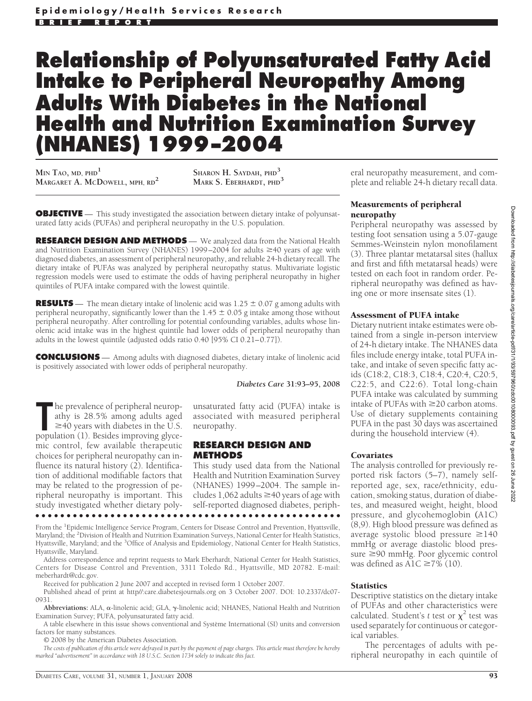# **Relationship of Polyunsaturated Fatty Acid Intake to Peripheral Neuropathy Among Adults With Diabetes in the National Health and Nutrition Examination Survey (NHANES) 1999 –2004**

**MIN TAO, MD, PHD<sup>1</sup> MARGARET A. MCDOWELL, MPH, RD2 SHARON H. SAYDAH, PHD<sup>3</sup>**

**MARK S. EBERHARDT, PHD<sup>3</sup>**

**OBJECTIVE** - This study investigated the association between dietary intake of polyunsaturated fatty acids (PUFAs) and peripheral neuropathy in the U.S. population.

**RESEARCH DESIGN AND METHODS** — We analyzed data from the National Health and Nutrition Examination Survey (NHANES) 1999–2004 for adults  $\geq$ 40 years of age with diagnosed diabetes, an assessment of peripheral neuropathy, and reliable 24-h dietary recall. The dietary intake of PUFAs was analyzed by peripheral neuropathy status. Multivariate logistic regression models were used to estimate the odds of having peripheral neuropathy in higher quintiles of PUFA intake compared with the lowest quintile.

**RESULTS** — The mean dietary intake of linolenic acid was  $1.25 \pm 0.07$  g among adults with peripheral neuropathy, significantly lower than the  $1.45 \pm 0.05$  g intake among those without peripheral neuropathy. After controlling for potential confounding variables, adults whose linolenic acid intake was in the highest quintile had lower odds of peripheral neuropathy than adults in the lowest quintile (adjusted odds ratio 0.40 [95% CI 0.21–0.77]).

**CONCLUSIONS** — Among adults with diagnosed diabetes, dietary intake of linolenic acid is positively associated with lower odds of peripheral neuropathy.

#### *Diabetes Care* **31:93–95, 2008**

unsaturated fatty acid (PUFA) intake is associated with measured peripheral neuropathy.

#### **RESEARCH DESIGN AND METHODS**

This study used data from the National Health and Nutrition Examination Survey (NHANES) 1999–2004. The sample includes 1,062 adults  $\geq$ 40 years of age with self-reported diagnosed diabetes, periph-●●●●●●●●●●●●●●●●●●●●●●●●●●●●●●●●●●●●●●●●●●●●●●●●●

From the <sup>1</sup>Epidemic Intelligence Service Program, Centers for Disease Control and Prevention, Hyattsville, Maryland; the <sup>2</sup>Division of Health and Nutrition Examination Surveys, National Center for Health Statistics, Hyattsville, Maryland; and the <sup>3</sup>Office of Analysis and Epidemiology, National Center for Health Statistics, Hyattsville, Maryland.

Address correspondence and reprint requests to Mark Eberhardt, National Center for Health Statistics, Centers for Disease Control and Prevention, 3311 Toledo Rd., Hyattsville, MD 20782. E-mail: meberhardt@cdc.gov.

Received for publication 2 June 2007 and accepted in revised form 1 October 2007.

Published ahead of print at http//:care.diabetesjournals.org on 3 October 2007. DOI: 10.2337/dc07- 0931.

Abbreviations: ALA,  $\alpha$ -linolenic acid; GLA,  $\gamma$ -linolenic acid; NHANES, National Health and Nutrition Examination Survey; PUFA, polyunsaturated fatty acid.

A table elsewhere in this issue shows conventional and Système International (SI) units and conversion factors for many substances.

© 2008 by the American Diabetes Association.

The prevalence of peripheral neuropathy is 28.5% among adults aged ≥40 years with diabetes in the U.S. population (1). Besides improving glycehe prevalence of peripheral neuropathy is 28.5% among adults aged  $\geq$ 40 years with diabetes in the U.S.

mic control, few available therapeutic choices for peripheral neuropathy can influence its natural history (2). Identification of additional modifiable factors that may be related to the progression of peripheral neuropathy is important. This study investigated whether dietary poly-

*The costs of publication of this article were defrayed in part by the payment of page charges. This article must therefore be hereby marked "advertisement" in accordance with 18 U.S.C. Section 1734 solely to indicate this fact.*

eral neuropathy measurement, and complete and reliable 24-h dietary recall data.

#### Measurements of peripheral neuropathy

Peripheral neuropathy was assessed by testing foot sensation using a 5.07-gauge Semmes-Weinstein nylon monofilament (3). Three plantar metatarsal sites (hallux and first and fifth metatarsal heads) were tested on each foot in random order. Peripheral neuropathy was defined as having one or more insensate sites (1).

#### Assessment of PUFA intake

Dietary nutrient intake estimates were obtained from a single in-person interview of 24-h dietary intake. The NHANES data files include energy intake, total PUFA intake, and intake of seven specific fatty acids (C18:2, C18:3, C18:4, C20:4, C20:5, C22:5, and C22:6). Total long-chain PUFA intake was calculated by summing intake of PUFAs with  $\geq$  20 carbon atoms. Use of dietary supplements containing PUFA in the past 30 days was ascertained during the household interview (4).

#### Covariates

The analysis controlled for previously reported risk factors (5–7), namely selfreported age, sex, race/ethnicity, education, smoking status, duration of diabetes, and measured weight, height, blood pressure, and glycohemoglobin **(**A1C) (8,9). High blood pressure was defined as average systolic blood pressure  $\geq$ 140 mmHg or average diastolic blood pressure ≥90 mmHg. Poor glycemic control was defined as  $A1C \ge 7\%$  (10).

#### **Statistics**

Descriptive statistics on the dietary intake of PUFAs and other characteristics were calculated. Student's *t* test or  $\chi^2$  test was used separately for continuous or categorical variables.

The percentages of adults with peripheral neuropathy in each quintile of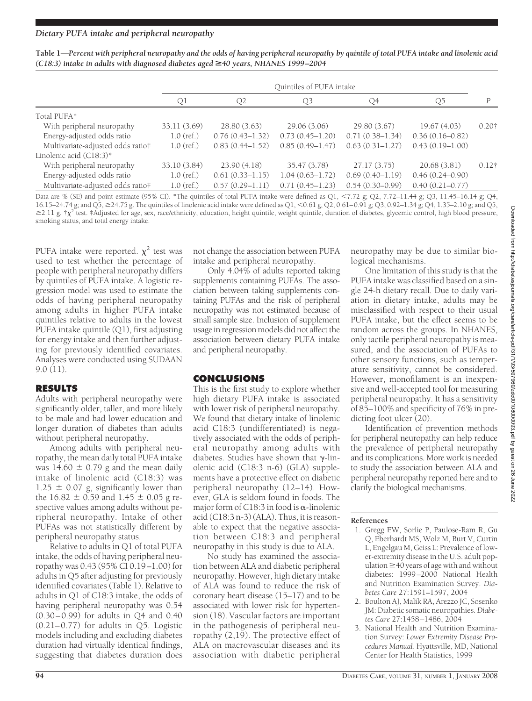| Table 1—Percent with peripheral neuropathy and the odds of having peripheral neuropathy by quintile of total PUFA intake and linolenic acid |  |
|---------------------------------------------------------------------------------------------------------------------------------------------|--|
| $(C18:3)$ intake in adults with diagnosed diabetes aged $\geq$ 40 years, NHANES 1999-2004                                                   |  |

|                                   | Quintiles of PUFA intake |                     |                     |                     |                     |               |
|-----------------------------------|--------------------------|---------------------|---------------------|---------------------|---------------------|---------------|
|                                   | Ql                       | O2                  | Q3                  | Q4                  | O5                  | D             |
| Total PUFA*                       |                          |                     |                     |                     |                     |               |
| With peripheral neuropathy        | 33.11 (3.69)             | 28.80(3.63)         | 29.06(3.06)         | 29.80 (3.67)        | 19.67(4.03)         | $0.20\dagger$ |
| Energy-adjusted odds ratio        | $1.0$ (ref.)             | $0.76(0.43 - 1.32)$ | $0.73(0.45 - 1.20)$ | $0.71(0.38 - 1.34)$ | $0.36(0.16 - 0.82)$ |               |
| Multivariate-adjusted odds ratio# | $1.0$ (ref.)             | $0.83(0.44 - 1.52)$ | $0.85(0.49 - 1.47)$ | $0.63(0.31 - 1.27)$ | $0.43(0.19 - 1.00)$ |               |
| Linolenic acid (C18:3)*           |                          |                     |                     |                     |                     |               |
| With peripheral neuropathy        | 33.10 (3.84)             | 23.90(4.18)         | 35.47 (3.78)        | 27.17(3.75)         | 20.68(3.81)         | $0.12\dagger$ |
| Energy-adjusted odds ratio        | $1.0$ (ref.)             | $0.61(0.33 - 1.15)$ | $1.04(0.63 - 1.72)$ | $0.69(0.40 - 1.19)$ | $0.46(0.24 - 0.90)$ |               |
| Multivariate-adjusted odds ratio# | $1.0$ (ref.)             | $0.57(0.29 - 1.11)$ | $0.71(0.45 - 1.23)$ | $0.54(0.30-0.99)$   | $0.40(0.21 - 0.77)$ |               |

Data are % (SE) and point estimate (95% CI). \*The quintiles of total PUFA intake were defined as  $Q1$ , <7.72 g;  $Q2$ , 7.72–11.44 g;  $Q3$ , 11.45–16.14 g;  $Q4$ , 16.15–24.74 g; and Q5,  $\geq$ 24.75 g. The quintiles of linolenic acid intake were defined as Q1, <0.61 g, Q2, 0.61–0.91 g; Q3, 0.92–1.34 g; Q4, 1.35–2.10 g; and Q5,  $\geq$ 2.11 g.  $\tau \chi^2$  test. ‡Adjusted for age, sex, race/ethnicity, education, height quintile, weight quintile, duration of diabetes, glycemic control, high blood pressure, smoking status, and total energy intake.

PUFA intake were reported.  $\chi^2$  test was used to test whether the percentage of people with peripheral neuropathy differs by quintiles of PUFA intake. A logistic regression model was used to estimate the odds of having peripheral neuropathy among adults in higher PUFA intake quintiles relative to adults in the lowest PUFA intake quintile (Q1), first adjusting for energy intake and then further adjusting for previously identified covariates. Analyses were conducted using SUDAAN 9.0 (11).

### **RESULTS**

Adults with peripheral neuropathy were significantly older, taller, and more likely to be male and had lower education and longer duration of diabetes than adults without peripheral neuropathy.

Among adults with peripheral neuropathy, the mean daily total PUFA intake was 14.60  $\pm$  0.79 g and the mean daily intake of linolenic acid (C18:3) was  $1.25 \pm 0.07$  g, significantly lower than the 16.82  $\pm$  0.59 and 1.45  $\pm$  0.05 g respective values among adults without peripheral neuropathy. Intake of other PUFAs was not statistically different by peripheral neuropathy status.

Relative to adults in Q1 of total PUFA intake, the odds of having peripheral neuropathy was 0.43 (95% CI 0.19–1.00) for adults in Q5 after adjusting for previously identified covariates (Table 1). Relative to adults in Q1 of C18:3 intake, the odds of having peripheral neuropathy was 0.54 (0.30–0.99) for adults in Q4 and 0.40 (0.21–0.77) for adults in Q5. Logistic models including and excluding diabetes duration had virtually identical findings, suggesting that diabetes duration does

not change the association between PUFA intake and peripheral neuropathy.

Only 4.04% of adults reported taking supplements containing PUFAs. The association between taking supplements containing PUFAs and the risk of peripheral neuropathy was not estimated because of small sample size. Inclusion of supplement usage in regression models did not affect the association between dietary PUFA intake and peripheral neuropathy.

## **CONCLUSIONS**

This is the first study to explore whether high dietary PUFA intake is associated with lower risk of peripheral neuropathy. We found that dietary intake of linolenic acid C18:3 (undifferentiated) is negatively associated with the odds of peripheral neuropathy among adults with diabetes. Studies have shown that  $\gamma$ -linolenic acid (C18:3 n-6) (GLA) supplements have a protective effect on diabetic peripheral neuropathy (12–14). However, GLA is seldom found in foods. The major form of  $C18:3$  in food is  $\alpha$ -linolenic acid (C18:3 n-3) (ALA). Thus, it is reasonable to expect that the negative association between C18:3 and peripheral neuropathy in this study is due to ALA.

No study has examined the association between ALA and diabetic peripheral neuropathy. However, high dietary intake of ALA was found to reduce the risk of coronary heart disease (15–17) and to be associated with lower risk for hypertension (18). Vascular factors are important in the pathogenesis of peripheral neuropathy (2,19). The protective effect of ALA on macrovascular diseases and its association with diabetic peripheral

neuropathy may be due to similar biological mechanisms.

One limitation of this study is that the PUFA intake was classified based on a single 24-h dietary recall. Due to daily variation in dietary intake, adults may be misclassified with respect to their usual PUFA intake, but the effect seems to be random across the groups. In NHANES, only tactile peripheral neuropathy is measured, and the association of PUFAs to other sensory functions, such as temperature sensitivity, cannot be considered. However, monofilament is an inexpensive and well-accepted tool for measuring peripheral neuropathy. It has a sensitivity of 85–100% and specificity of 76% in predicting foot ulcer (20).

Identification of prevention methods for peripheral neuropathy can help reduce the prevalence of peripheral neuropathy and its complications. More work is needed to study the association between ALA and peripheral neuropathy reported here and to clarify the biological mechanisms.

#### **References**

- 1. Gregg EW, Sorlie P, Paulose-Ram R, Gu Q, Eberhardt MS, Wolz M, Burt V, Curtin L, Engelgau M, Geiss L: Prevalence of lower-extremity disease in the U.S. adult population  $\geq 40$  years of age with and without diabetes: 1999–2000 National Health and Nutrition Examination Survey. *Diabetes Care* 27:1591–1597, 2004
- 2. Boulton AJ, Malik RA, Arezzo JC, Sosenko JM: Diabetic somatic neuropathies.*Diabetes Care* 27:1458–1486, 2004
- 3. National Health and Nutrition Examination Survey: *Lower Extremity Disease Procedures Manual*. Hyattsville, MD, National Center for Health Statistics, 1999